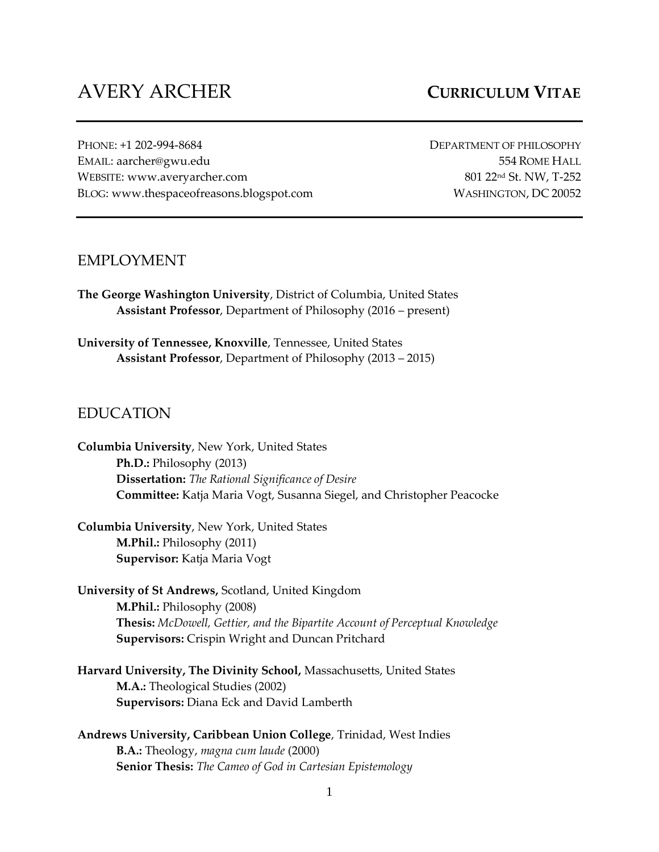# AVERY ARCHER **CURRICULUM VITAE**

PHONE: +1 202-994-8684 DEPARTMENT OF PHILOSOPHY EMAIL: aarcher@gwu.edu 554 ROME HALL WEBSITE: www.averyarcher.com 801 22<sup>nd</sup> St. NW, T-252 BLOG: www.thespaceofreasons.blogspot.com WASHINGTON, DC 20052

## EMPLOYMENT

**The George Washington University**, District of Columbia, United States **Assistant Professor**, Department of Philosophy (2016 – present)

**University of Tennessee, Knoxville**, Tennessee, United States **Assistant Professor**, Department of Philosophy (2013 – 2015)

## EDUCATION

**Columbia University**, New York, United States **Ph.D.:** Philosophy (2013) **Dissertation:** *The Rational Significance of Desire* **Committee:** Katja Maria Vogt, Susanna Siegel, and Christopher Peacocke

**Columbia University**, New York, United States **M.Phil.:** Philosophy (2011) **Supervisor:** Katja Maria Vogt

- **University of St Andrews,** Scotland, United Kingdom **M.Phil.:** Philosophy (2008) **Thesis:** *McDowell, Gettier, and the Bipartite Account of Perceptual Knowledge* **Supervisors:** Crispin Wright and Duncan Pritchard
- **Harvard University, The Divinity School,** Massachusetts, United States **M.A.:** Theological Studies (2002) **Supervisors:** Diana Eck and David Lamberth
- **Andrews University, Caribbean Union College**, Trinidad, West Indies **B.A.:** Theology, *magna cum laude* (2000) **Senior Thesis:** *The Cameo of God in Cartesian Epistemology*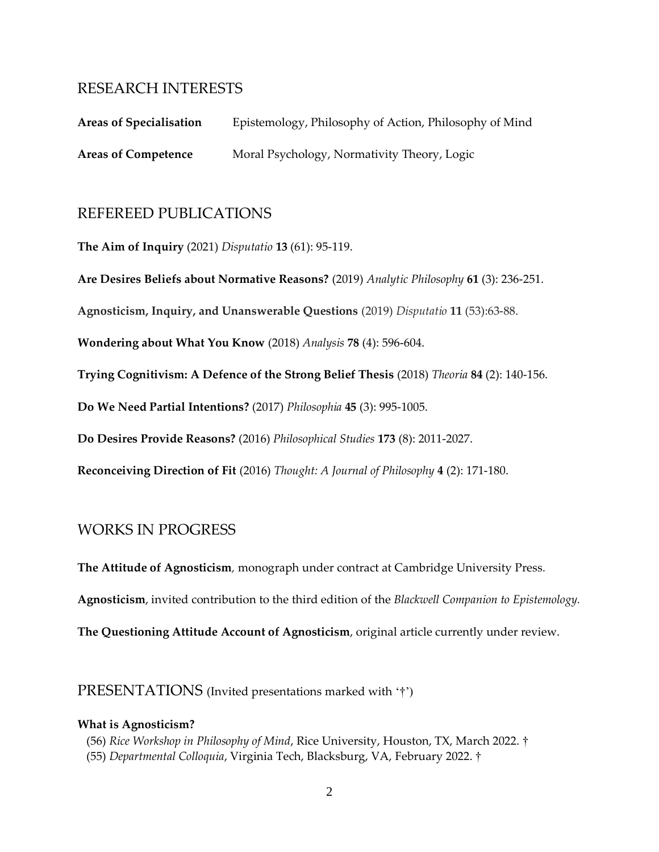# RESEARCH INTERESTS

| <b>Areas of Specialisation</b> | Epistemology, Philosophy of Action, Philosophy of Mind |
|--------------------------------|--------------------------------------------------------|
| <b>Areas of Competence</b>     | Moral Psychology, Normativity Theory, Logic            |

# REFEREED PUBLICATIONS

**The Aim of Inquiry** (2021) *Disputatio* **13** (61): 95-119.

**Are Desires Beliefs about Normative Reasons?** (2019) *Analytic Philosophy* **61** (3): 236-251.

**Agnosticism, Inquiry, and Unanswerable Questions** (2019) *Disputatio* **11** (53):63-88.

**Wondering about What You Know** (2018) *Analysis* **78** (4): 596-604.

**Trying Cognitivism: A Defence of the Strong Belief Thesis** (2018) *Theoria* **84** (2): 140-156.

**Do We Need Partial Intentions?** (2017) *Philosophia* **45** (3): 995-1005.

**Do Desires Provide Reasons?** (2016) *Philosophical Studies* **173** (8): 2011-2027.

**Reconceiving Direction of Fit** (2016) *Thought: A Journal of Philosophy* **4** (2): 171-180.

## WORKS IN PROGRESS

**The Attitude of Agnosticism***,* monograph under contract at Cambridge University Press*.*

**Agnosticism**, invited contribution to the third edition of the *Blackwell Companion to Epistemology.*

**The Questioning Attitude Account of Agnosticism**, original article currently under review.

PRESENTATIONS (Invited presentations marked with '†')

#### **What is Agnosticism?**

- (56) *Rice Workshop in Philosophy of Mind*, Rice University, Houston, TX, March 2022. †
- (55) *Departmental Colloquia*, Virginia Tech, Blacksburg, VA, February 2022. †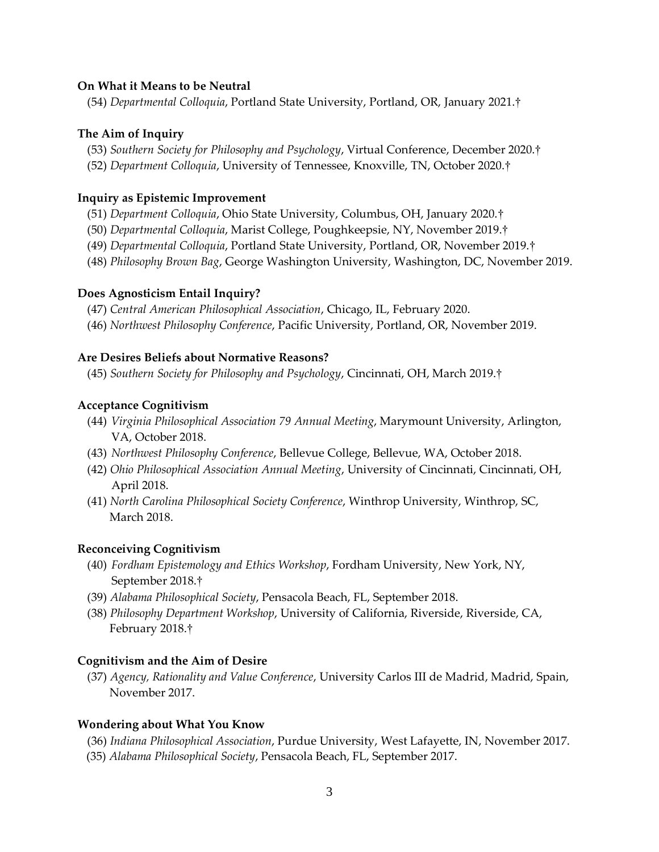### **On What it Means to be Neutral**

(54) *Departmental Colloquia*, Portland State University, Portland, OR, January 2021.†

#### **The Aim of Inquiry**

- (53) *Southern Society for Philosophy and Psychology*, Virtual Conference, December 2020.†
- (52) *Department Colloquia*, University of Tennessee, Knoxville, TN, October 2020.†

#### **Inquiry as Epistemic Improvement**

- (51) *Department Colloquia*, Ohio State University, Columbus, OH, January 2020.†
- (50) *Departmental Colloquia*, Marist College, Poughkeepsie, NY, November 2019.†
- (49) *Departmental Colloquia*, Portland State University, Portland, OR, November 2019.†
- (48) *Philosophy Brown Bag*, George Washington University, Washington, DC, November 2019.

#### **Does Agnosticism Entail Inquiry?**

- (47) *Central American Philosophical Association*, Chicago, IL, February 2020.
- (46) *Northwest Philosophy Conference*, Pacific University, Portland, OR, November 2019.

#### **Are Desires Beliefs about Normative Reasons?**

(45) *Southern Society for Philosophy and Psychology*, Cincinnati, OH, March 2019.†

#### **Acceptance Cognitivism**

- (44) *Virginia Philosophical Association 79 Annual Meeting*, Marymount University, Arlington, VA, October 2018.
- (43) *Northwest Philosophy Conference*, Bellevue College, Bellevue, WA, October 2018.
- (42) *Ohio Philosophical Association Annual Meeting*, University of Cincinnati, Cincinnati, OH, April 2018.
- (41) *North Carolina Philosophical Society Conference*, Winthrop University, Winthrop, SC, March 2018.

### **Reconceiving Cognitivism**

- (40) *Fordham Epistemology and Ethics Workshop*, Fordham University, New York, NY, September 2018.†
- (39) *Alabama Philosophical Society*, Pensacola Beach, FL, September 2018.
- (38) *Philosophy Department Workshop*, University of California, Riverside, Riverside, CA, February 2018.†

#### **Cognitivism and the Aim of Desire**

(37) *Agency, Rationality and Value Conference*, University Carlos III de Madrid, Madrid, Spain, November 2017.

### **Wondering about What You Know**

- (36) *Indiana Philosophical Association*, Purdue University, West Lafayette, IN, November 2017.
- (35) *Alabama Philosophical Society*, Pensacola Beach, FL, September 2017.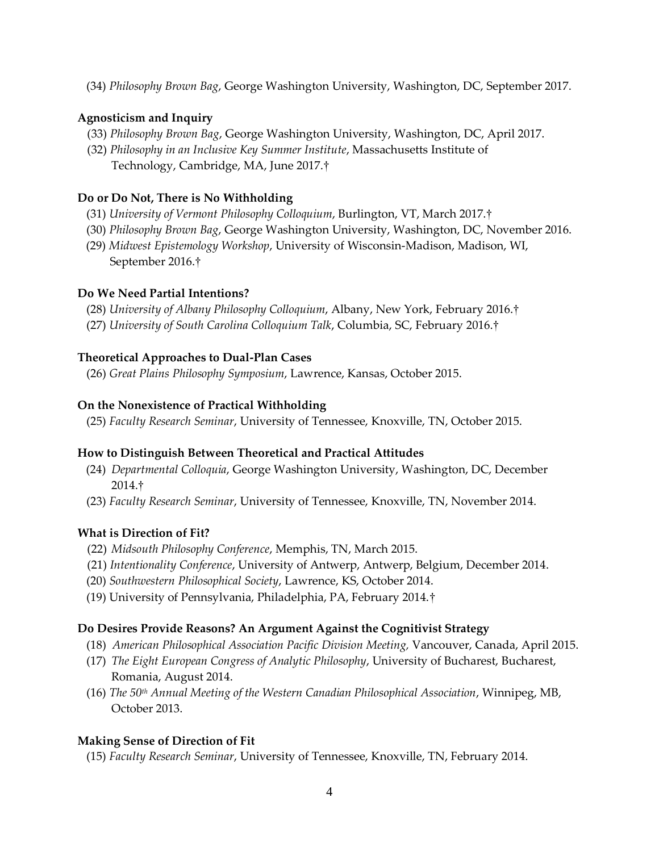(34) *Philosophy Brown Bag*, George Washington University, Washington, DC, September 2017.

### **Agnosticism and Inquiry**

- (33) *Philosophy Brown Bag*, George Washington University, Washington, DC, April 2017.
- (32) *Philosophy in an Inclusive Key Summer Institute*, Massachusetts Institute of Technology, Cambridge, MA, June 2017.†

# **Do or Do Not, There is No Withholding**

- (31) *University of Vermont Philosophy Colloquium*, Burlington, VT, March 2017.†
- (30) *Philosophy Brown Bag*, George Washington University, Washington, DC, November 2016.
- (29) *Midwest Epistemology Workshop*, University of Wisconsin-Madison, Madison, WI, September 2016.†

### **Do We Need Partial Intentions?**

- (28) *University of Albany Philosophy Colloquium*, Albany, New York, February 2016.†
- (27) *University of South Carolina Colloquium Talk*, Columbia, SC, February 2016.†

#### **Theoretical Approaches to Dual-Plan Cases**

(26) *Great Plains Philosophy Symposium*, Lawrence, Kansas, October 2015.

#### **On the Nonexistence of Practical Withholding**

(25) *Faculty Research Seminar*, University of Tennessee, Knoxville, TN, October 2015.

### **How to Distinguish Between Theoretical and Practical Attitudes**

- (24) *Departmental Colloquia*, George Washington University, Washington, DC, December 2014.†
- (23) *Faculty Research Seminar*, University of Tennessee, Knoxville, TN, November 2014.

### **What is Direction of Fit?**

- (22) *Midsouth Philosophy Conference*, Memphis, TN, March 2015.
- (21) *Intentionality Conference*, University of Antwerp, Antwerp, Belgium, December 2014.
- (20) *Southwestern Philosophical Society*, Lawrence, KS, October 2014.
- (19) University of Pennsylvania, Philadelphia, PA, February 2014.†

### **Do Desires Provide Reasons? An Argument Against the Cognitivist Strategy**

- (18) *American Philosophical Association Pacific Division Meeting,* Vancouver, Canada, April 2015.
- (17) *The Eight European Congress of Analytic Philosophy*, University of Bucharest, Bucharest, Romania, August 2014.
- (16) *The 50th Annual Meeting of the Western Canadian Philosophical Association*, Winnipeg, MB, October 2013.

### **Making Sense of Direction of Fit**

(15) *Faculty Research Seminar*, University of Tennessee, Knoxville, TN, February 2014.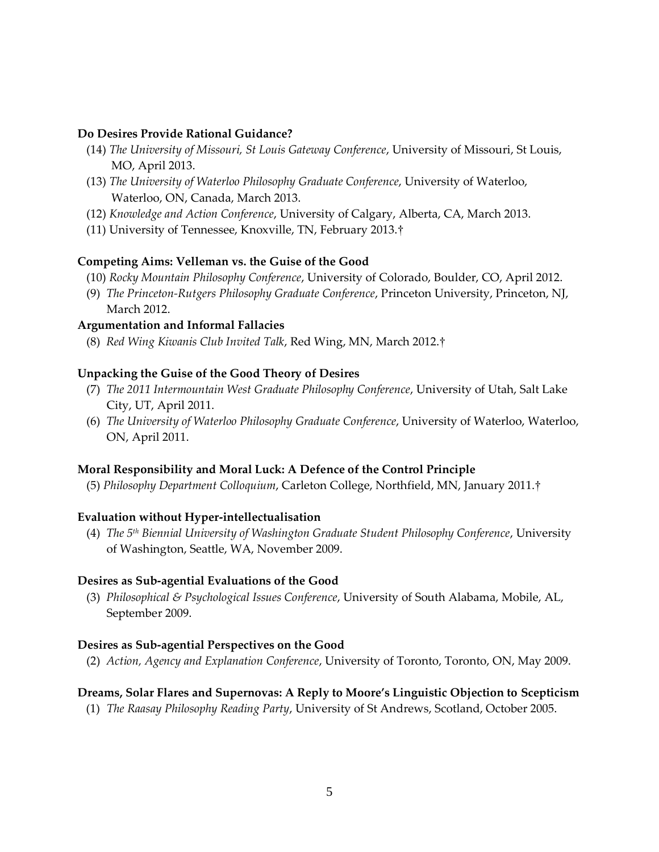#### **Do Desires Provide Rational Guidance?**

- (14) *The University of Missouri, St Louis Gateway Conference*, University of Missouri, St Louis, MO, April 2013.
- (13) *The University of Waterloo Philosophy Graduate Conference*, University of Waterloo, Waterloo, ON, Canada, March 2013.
- (12) *Knowledge and Action Conference*, University of Calgary, Alberta, CA, March 2013.
- (11) University of Tennessee, Knoxville, TN, February 2013.†

#### **Competing Aims: Velleman vs. the Guise of the Good**

- (10) *Rocky Mountain Philosophy Conference*, University of Colorado, Boulder, CO, April 2012.
- (9) *The Princeton-Rutgers Philosophy Graduate Conference*, Princeton University, Princeton, NJ, March 2012.

#### **Argumentation and Informal Fallacies**

(8) *Red Wing Kiwanis Club Invited Talk*, Red Wing, MN, March 2012.†

#### **Unpacking the Guise of the Good Theory of Desires**

- (7) *The 2011 Intermountain West Graduate Philosophy Conference*, University of Utah, Salt Lake City, UT, April 2011.
- (6) *The University of Waterloo Philosophy Graduate Conference*, University of Waterloo, Waterloo, ON, April 2011.

### **Moral Responsibility and Moral Luck: A Defence of the Control Principle**

(5) *Philosophy Department Colloquium*, Carleton College, Northfield, MN, January 2011.†

### **Evaluation without Hyper-intellectualisation**

 (4) *The 5th Biennial University of Washington Graduate Student Philosophy Conference*, University of Washington, Seattle, WA, November 2009.

#### **Desires as Sub-agential Evaluations of the Good**

 (3) *Philosophical & Psychological Issues Conference*, University of South Alabama, Mobile, AL, September 2009.

### **Desires as Sub-agential Perspectives on the Good**

(2) *Action, Agency and Explanation Conference*, University of Toronto, Toronto, ON, May 2009.

### **Dreams, Solar Flares and Supernovas: A Reply to Moore's Linguistic Objection to Scepticism**

(1) *The Raasay Philosophy Reading Party*, University of St Andrews, Scotland, October 2005.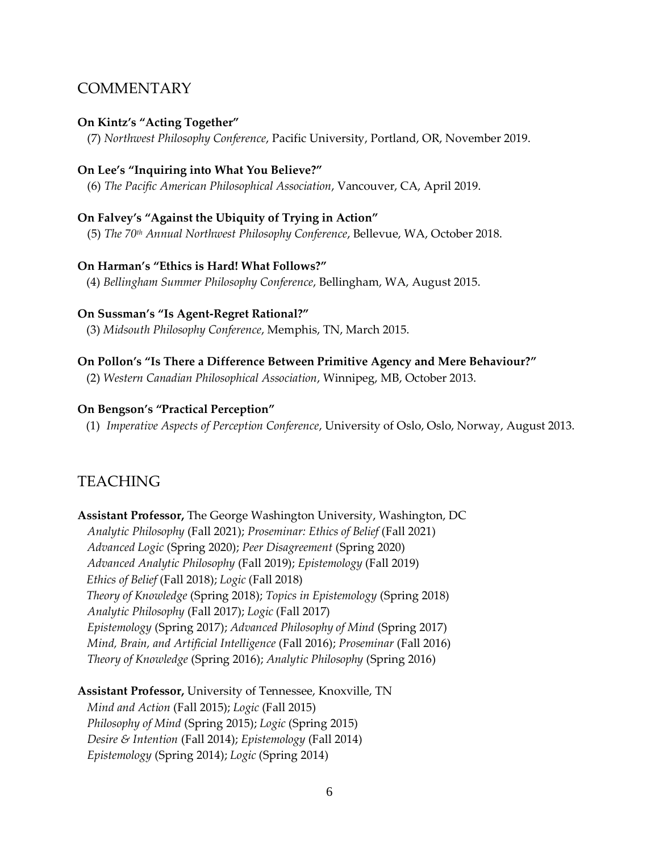# **COMMENTARY**

#### **On Kintz's "Acting Together"**

(7) *Northwest Philosophy Conference*, Pacific University, Portland, OR, November 2019.

#### **On Lee's "Inquiring into What You Believe?"**

(6) *The Pacific American Philosophical Association*, Vancouver, CA, April 2019.

#### **On Falvey's "Against the Ubiquity of Trying in Action"**

(5) *The 70th Annual Northwest Philosophy Conference*, Bellevue, WA, October 2018.

#### **On Harman's "Ethics is Hard! What Follows?"**

(4) *Bellingham Summer Philosophy Conference*, Bellingham, WA, August 2015.

#### **On Sussman's "Is Agent-Regret Rational?"**

(3) *Midsouth Philosophy Conference*, Memphis, TN, March 2015.

#### **On Pollon's "Is There a Difference Between Primitive Agency and Mere Behaviour?"**

(2) *Western Canadian Philosophical Association*, Winnipeg, MB, October 2013.

#### **On Bengson's "Practical Perception"**

(1) *Imperative Aspects of Perception Conference*, University of Oslo, Oslo, Norway, August 2013.

# TEACHING

**Assistant Professor,** The George Washington University, Washington, DC *Analytic Philosophy* (Fall 2021); *Proseminar: Ethics of Belief* (Fall 2021) *Advanced Logic* (Spring 2020); *Peer Disagreement* (Spring 2020) *Advanced Analytic Philosophy* (Fall 2019); *Epistemology* (Fall 2019)  *Ethics of Belief* (Fall 2018); *Logic* (Fall 2018) *Theory of Knowledge* (Spring 2018); *Topics in Epistemology* (Spring 2018) *Analytic Philosophy* (Fall 2017); *Logic* (Fall 2017) *Epistemology* (Spring 2017); *Advanced Philosophy of Mind* (Spring 2017) *Mind, Brain, and Artificial Intelligence* (Fall 2016); *Proseminar* (Fall 2016) *Theory of Knowledge* (Spring 2016); *Analytic Philosophy* (Spring 2016)

**Assistant Professor,** University of Tennessee, Knoxville, TN *Mind and Action* (Fall 2015); *Logic* (Fall 2015) *Philosophy of Mind* (Spring 2015); *Logic* (Spring 2015) *Desire & Intention* (Fall 2014); *Epistemology* (Fall 2014) *Epistemology* (Spring 2014); *Logic* (Spring 2014)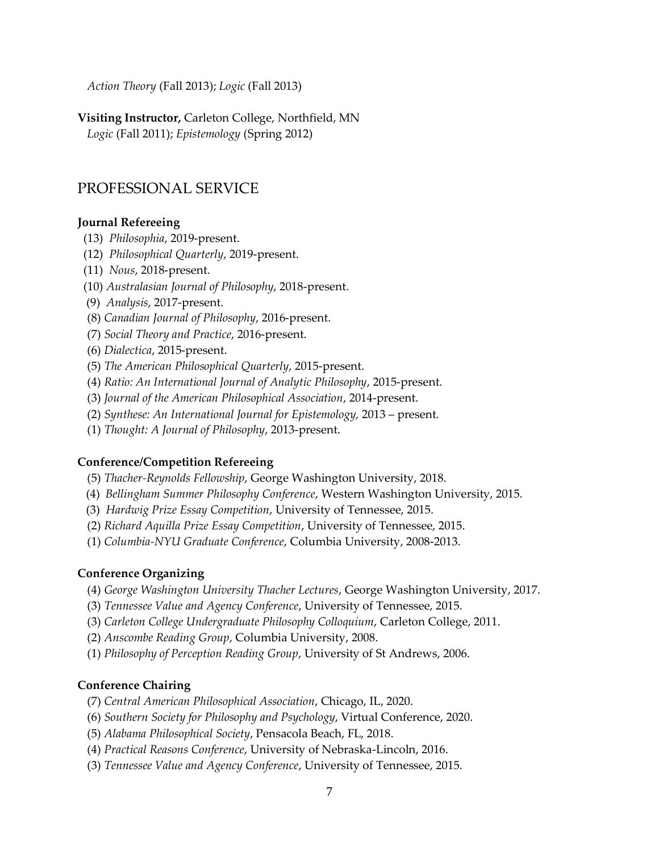*Action Theory* (Fall 2013); *Logic* (Fall 2013)

**Visiting Instructor,** Carleton College, Northfield, MN *Logic* (Fall 2011); *Epistemology* (Spring 2012)

# PROFESSIONAL SERVICE

#### **Journal Refereeing**

- (13) *Philosophia*, 2019-present.
- (12) *Philosophical Quarterly*, 2019-present.
- (11) *Nous*, 2018-present.
- (10) *Australasian Journal of Philosophy*, 2018-present.
- (9) *Analysis*, 2017-present.
- (8) *Canadian Journal of Philosophy*, 2016-present.
- (7) *Social Theory and Practice*, 2016-present.
- (6) *Dialectica*, 2015-present.
- (5) *The American Philosophical Quarterly*, 2015-present.
- (4) *Ratio: An International Journal of Analytic Philosophy*, 2015-present.
- (3) *Journal of the American Philosophical Association*, 2014-present.
- (2) *Synthese: An International Journal for Epistemology,* 2013 present.
- (1) *Thought: A Journal of Philosophy*, 2013-present.

#### **Conference/Competition Refereeing**

- (5) *Thacher-Reynolds Fellowship*, George Washington University, 2018.
- (4) *Bellingham Summer Philosophy Conference*, Western Washington University, 2015.
- (3) *Hardwig Prize Essay Competition*, University of Tennessee, 2015.
- (2) *Richard Aquilla Prize Essay Competition*, University of Tennessee, 2015.
- (1) *Columbia-NYU Graduate Conference*, Columbia University, 2008-2013.

#### **Conference Organizing**

- (4) *George Washington University Thacher Lectures*, George Washington University, 2017.
- (3) *Tennessee Value and Agency Conference*, University of Tennessee, 2015.
- (3) *Carleton College Undergraduate Philosophy Colloquium*, Carleton College, 2011.
- (2) *Anscombe Reading Group*, Columbia University, 2008.
- (1) *Philosophy of Perception Reading Group*, University of St Andrews, 2006.

### **Conference Chairing**

- (7) *Central American Philosophical Association*, Chicago, IL, 2020.
- (6) *Southern Society for Philosophy and Psychology*, Virtual Conference, 2020.
- (5) *Alabama Philosophical Society*, Pensacola Beach, FL, 2018.
- (4) *Practical Reasons Conference*, University of Nebraska-Lincoln, 2016.
- (3) *Tennessee Value and Agency Conference*, University of Tennessee, 2015.